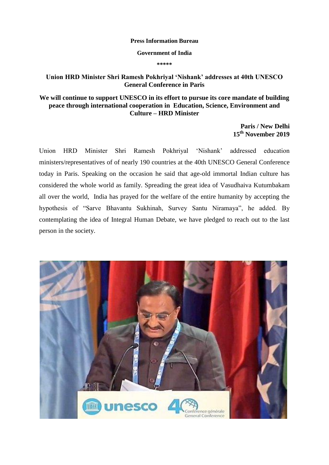## **Press Information Bureau**

## **Government of India**

**\*\*\*\*\***

## **Union HRD Minister Shri Ramesh Pokhriyal 'Nishank' addresses at 40th UNESCO General Conference in Paris**

## **We will continue to support UNESCO in its effort to pursue its core mandate of building peace through international cooperation in Education, Science, Environment and Culture – HRD Minister**

**Paris / New Delhi 15th November 2019**

Union HRD Minister Shri Ramesh Pokhriyal "Nishank" addressed education ministers/representatives of of nearly 190 countries at the 40th UNESCO General Conference today in Paris. Speaking on the occasion he said that age-old immortal Indian culture has considered the whole world as family. Spreading the great idea of Vasudhaiva Kutumbakam all over the world, India has prayed for the welfare of the entire humanity by accepting the hypothesis of "Sarve Bhavantu Sukhinah, Survey Santu Niramaya", he added. By contemplating the idea of Integral Human Debate, we have pledged to reach out to the last person in the society.

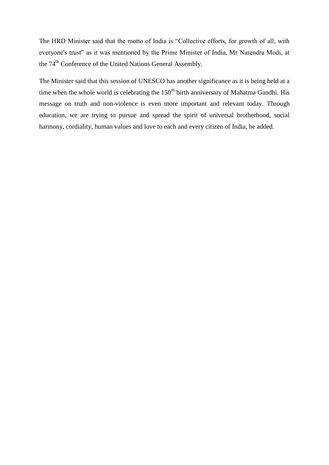The HRD Minister said that the motto of India is "Collective efforts, for growth of all, with everyone's trust" as it was mentioned by the Prime Minister of India, Mr Narendra Modi, at the 74<sup>th</sup> Conference of the United Nations General Assembly.

The Minister said that this session of UNESCO has another significance as it is being held at a time when the whole world is celebrating the  $150<sup>th</sup>$  birth anniversary of Mahatma Gandhi. His message on truth and non-violence is even more important and relevant today. Through education, we are trying to pursue and spread the spirit of universal brotherhood, social harmony, cordiality, human values and love to each and every citizen of India, he added.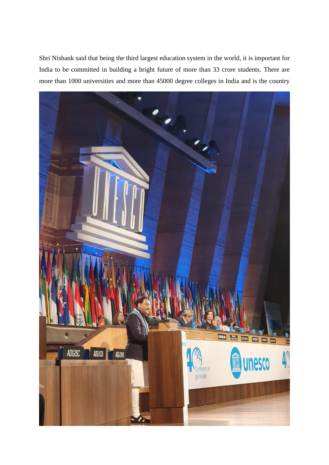Shri Nishank said that being the third largest education system in the world, it is important for India to be committed in building a bright future of more than 33 crore students. There are more than 1000 universities and more than 45000 degree colleges in India and is the country

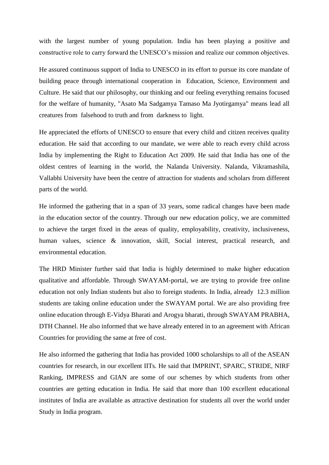with the largest number of young population. India has been playing a positive and constructive role to carry forward the UNESCO"s mission and realize our common objectives.

He assured continuous support of India to UNESCO in its effort to pursue its core mandate of building peace through international cooperation in Education, Science, Environment and Culture. He said that our philosophy, our thinking and our feeling everything remains focused for the welfare of humanity, "Asato Ma Sadgamya Tamaso Ma Jyotirgamya" means lead all creatures from falsehood to truth and from darkness to light.

He appreciated the efforts of UNESCO to ensure that every child and citizen receives quality education. He said that according to our mandate, we were able to reach every child across India by implementing the Right to Education Act 2009. He said that India has one of the oldest centres of learning in the world, the Nalanda University. Nalanda, Vikramashila, Vallabhi University have been the centre of attraction for students and scholars from different parts of the world.

He informed the gathering that in a span of 33 years, some radical changes have been made in the education sector of the country. Through our new education policy, we are committed to achieve the target fixed in the areas of quality, employability, creativity, inclusiveness, human values, science & innovation, skill, Social interest, practical research, and environmental education.

The HRD Minister further said that India is highly determined to make higher education qualitative and affordable. Through SWAYAM-portal, we are trying to provide free online education not only Indian students but also to foreign students. In India, already 12.3 million students are taking online education under the SWAYAM portal. We are also providing free online education through E-Vidya Bharati and Arogya bharati, through SWAYAM PRABHA, DTH Channel. He also informed that we have already entered in to an agreement with African Countries for providing the same at free of cost.

He also informed the gathering that India has provided 1000 scholarships to all of the ASEAN countries for research, in our excellent IITs. He said that IMPRINT, SPARC, STRIDE, NIRF Ranking, IMPRESS and GIAN are some of our schemes by which students from other countries are getting education in India. He said that more than 100 excellent educational institutes of India are available as attractive destination for students all over the world under Study in India program.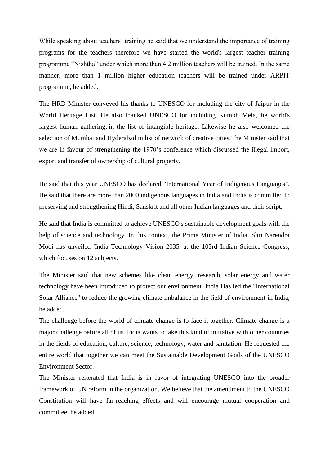While speaking about teachers' training he said that we understand the importance of training programs for the teachers therefore we have started the world's largest teacher training programme "Nishtha" under which more than 4.2 million teachers will be trained. In the same manner, more than 1 million higher education teachers will be trained under ARPIT programme, he added.

The HRD Minister conveyed his thanks to UNESCO for including the city of Jaipur in the World Heritage List. He also thanked UNESCO for including Kumbh Mela, the world's largest human gathering, in the list of intangible heritage. Likewise he also welcomed the selection of Mumbai and Hyderabad in list of network of creative cities.The Minister said that we are in favour of strengthening the 1970"s conference which discussed the illegal import, export and transfer of ownership of cultural property.

He said that this year UNESCO has declared "International Year of Indigenous Languages". He said that there are more than 2000 indigenous languages in India and India is committed to preserving and strengthening Hindi, Sanskrit and all other Indian languages and their script.

He said that India is committed to achieve UNESCO's sustainable development goals with the help of science and technology. In this context, the Prime Minister of India, Shri Narendra Modi has unveiled 'India Technology Vision 2035' at the 103rd Indian Science Congress, which focuses on 12 subjects.

The Minister said that new schemes like clean energy, research, solar energy and water technology have been introduced to protect our environment. India Has led the "International Solar Alliance" to reduce the growing climate imbalance in the field of environment in India, he added.

The challenge before the world of climate change is to face it together. Climate change is a major challenge before all of us. India wants to take this kind of initiative with other countries in the fields of education, culture, science, technology, water and sanitation. He requested the entire world that together we can meet the Sustainable Development Goals of the UNESCO Environment Sector.

The Minister reiterated that India is in favor of integrating UNESCO into the broader framework of UN reform in the organization. We believe that the amendment to the UNESCO Constitution will have far-reaching effects and will encourage mutual cooperation and committee, he added.